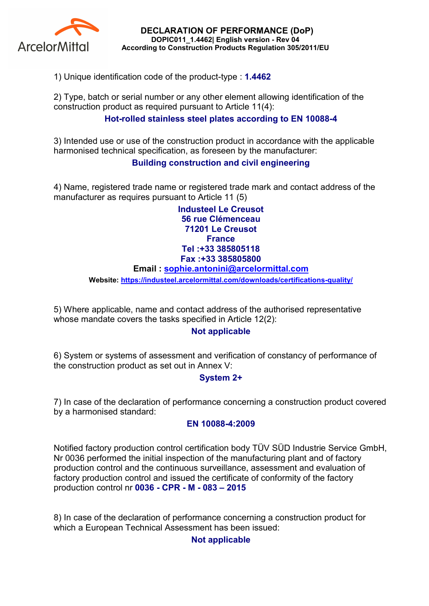

DECLARATION OF PERFORMANCE (DoP) DOPIC011\_1.4462| English version - Rev 04 According to Construction Products Regulation 305/2011/EU

1) Unique identification code of the product-type : 1.4462

2) Type, batch or serial number or any other element allowing identification of the construction product as required pursuant to Article 11(4):

## Hot-rolled stainless steel plates according to EN 10088-4

3) Intended use or use of the construction product in accordance with the applicable harmonised technical specification, as foreseen by the manufacturer:

## Building construction and civil engineering

4) Name, registered trade name or registered trade mark and contact address of the manufacturer as requires pursuant to Article 11 (5)

> Industeel Le Creusot 56 rue Clémenceau 71201 Le Creusot **France** Tel :+33 385805118 Fax :+33 385805800

#### Email : sophie.antonini@arcelormittal.com

Website: https://industeel.arcelormittal.com/downloads/certifications-quality/

5) Where applicable, name and contact address of the authorised representative whose mandate covers the tasks specified in Article 12(2):

### Not applicable

6) System or systems of assessment and verification of constancy of performance of the construction product as set out in Annex V:

### System 2+

7) In case of the declaration of performance concerning a construction product covered by a harmonised standard:

#### EN 10088-4:2009

Notified factory production control certification body TÜV SÜD Industrie Service GmbH, Nr 0036 performed the initial inspection of the manufacturing plant and of factory production control and the continuous surveillance, assessment and evaluation of factory production control and issued the certificate of conformity of the factory production control nr 0036 - CPR - M - 083 – 2015

8) In case of the declaration of performance concerning a construction product for which a European Technical Assessment has been issued:

### Not applicable